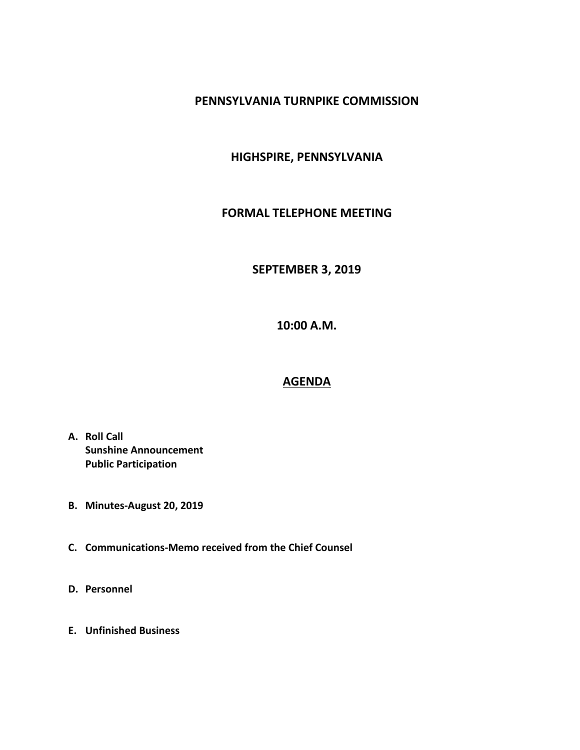#### **PENNSYLVANIA TURNPIKE COMMISSION**

## **HIGHSPIRE, PENNSYLVANIA**

#### **FORMAL TELEPHONE MEETING**

# **SEPTEMBER 3, 2019**

**10:00 A.M.**

# **AGENDA**

- **A. Roll Call Sunshine Announcement Public Participation**
- **B. Minutes-August 20, 2019**
- **C. Communications-Memo received from the Chief Counsel**
- **D. Personnel**
- **E. Unfinished Business**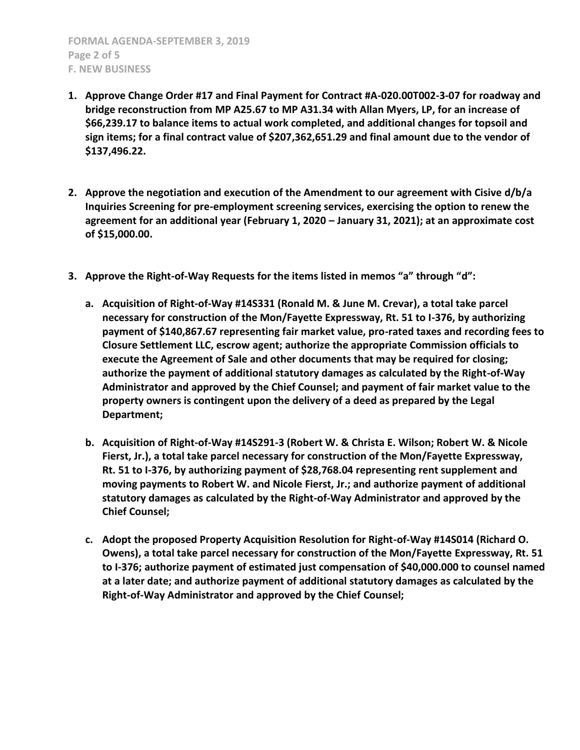- **1. Approve Change Order #17 and Final Payment for Contract #A-020.00T002-3-07 for roadway and bridge reconstruction from MP A25.67 to MP A31.34 with Allan Myers, LP, for an increase of \$66,239.17 to balance items to actual work completed, and additional changes for topsoil and sign items; for a final contract value of \$207,362,651.29 and final amount due to the vendor of \$137,496.22.**
- **2. Approve the negotiation and execution of the Amendment to our agreement with Cisive d/b/a Inquiries Screening for pre-employment screening services, exercising the option to renew the agreement for an additional year (February 1, 2020 – January 31, 2021); at an approximate cost of \$15,000.00.**
- **3. Approve the Right-of-Way Requests for the items listed in memos "a" through "d":**
	- **a. Acquisition of Right-of-Way #14S331 (Ronald M. & June M. Crevar), a total take parcel necessary for construction of the Mon/Fayette Expressway, Rt. 51 to I-376, by authorizing payment of \$140,867.67 representing fair market value, pro-rated taxes and recording fees to Closure Settlement LLC, escrow agent; authorize the appropriate Commission officials to execute the Agreement of Sale and other documents that may be required for closing; authorize the payment of additional statutory damages as calculated by the Right-of-Way Administrator and approved by the Chief Counsel; and payment of fair market value to the property owners is contingent upon the delivery of a deed as prepared by the Legal Department;**
	- **b. Acquisition of Right-of-Way #14S291-3 (Robert W. & Christa E. Wilson; Robert W. & Nicole Fierst, Jr.), a total take parcel necessary for construction of the Mon/Fayette Expressway, Rt. 51 to I-376, by authorizing payment of \$28,768.04 representing rent supplement and moving payments to Robert W. and Nicole Fierst, Jr.; and authorize payment of additional statutory damages as calculated by the Right-of-Way Administrator and approved by the Chief Counsel;**
	- **c. Adopt the proposed Property Acquisition Resolution for Right-of-Way #14S014 (Richard O. Owens), a total take parcel necessary for construction of the Mon/Fayette Expressway, Rt. 51 to I-376; authorize payment of estimated just compensation of \$40,000.000 to counsel named at a later date; and authorize payment of additional statutory damages as calculated by the Right-of-Way Administrator and approved by the Chief Counsel;**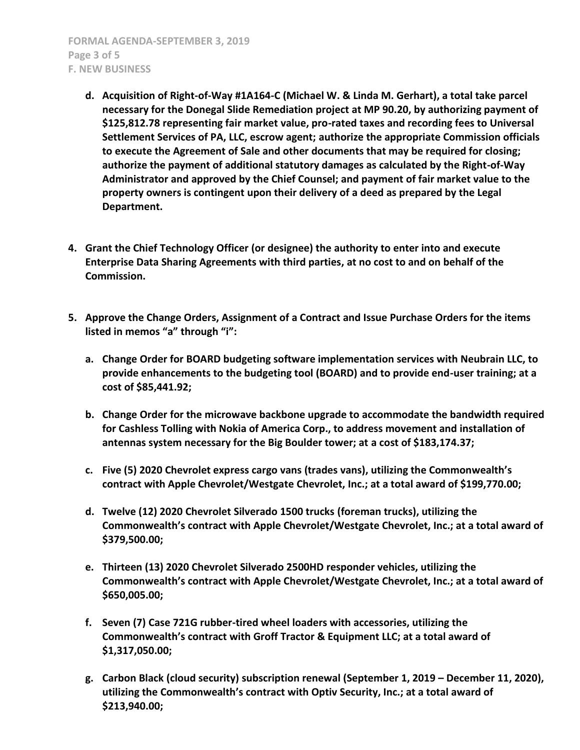**FORMAL AGENDA-SEPTEMBER 3, 2019 Page 3 of 5 F. NEW BUSINESS**

- **d. Acquisition of Right-of-Way #1A164-C (Michael W. & Linda M. Gerhart), a total take parcel necessary for the Donegal Slide Remediation project at MP 90.20, by authorizing payment of \$125,812.78 representing fair market value, pro-rated taxes and recording fees to Universal Settlement Services of PA, LLC, escrow agent; authorize the appropriate Commission officials to execute the Agreement of Sale and other documents that may be required for closing; authorize the payment of additional statutory damages as calculated by the Right-of-Way Administrator and approved by the Chief Counsel; and payment of fair market value to the property owners is contingent upon their delivery of a deed as prepared by the Legal Department.**
- **4. Grant the Chief Technology Officer (or designee) the authority to enter into and execute Enterprise Data Sharing Agreements with third parties, at no cost to and on behalf of the Commission.**
- **5. Approve the Change Orders, Assignment of a Contract and Issue Purchase Orders for the items listed in memos "a" through "i":**
	- **a. Change Order for BOARD budgeting software implementation services with Neubrain LLC, to provide enhancements to the budgeting tool (BOARD) and to provide end-user training; at a cost of \$85,441.92;**
	- **b. Change Order for the microwave backbone upgrade to accommodate the bandwidth required for Cashless Tolling with Nokia of America Corp., to address movement and installation of antennas system necessary for the Big Boulder tower; at a cost of \$183,174.37;**
	- **c. Five (5) 2020 Chevrolet express cargo vans (trades vans), utilizing the Commonwealth's contract with Apple Chevrolet/Westgate Chevrolet, Inc.; at a total award of \$199,770.00;**
	- **d. Twelve (12) 2020 Chevrolet Silverado 1500 trucks (foreman trucks), utilizing the Commonwealth's contract with Apple Chevrolet/Westgate Chevrolet, Inc.; at a total award of \$379,500.00;**
	- **e. Thirteen (13) 2020 Chevrolet Silverado 2500HD responder vehicles, utilizing the Commonwealth's contract with Apple Chevrolet/Westgate Chevrolet, Inc.; at a total award of \$650,005.00;**
	- **f. Seven (7) Case 721G rubber-tired wheel loaders with accessories, utilizing the Commonwealth's contract with Groff Tractor & Equipment LLC; at a total award of \$1,317,050.00;**
	- **g. Carbon Black (cloud security) subscription renewal (September 1, 2019 – December 11, 2020), utilizing the Commonwealth's contract with Optiv Security, Inc.; at a total award of \$213,940.00;**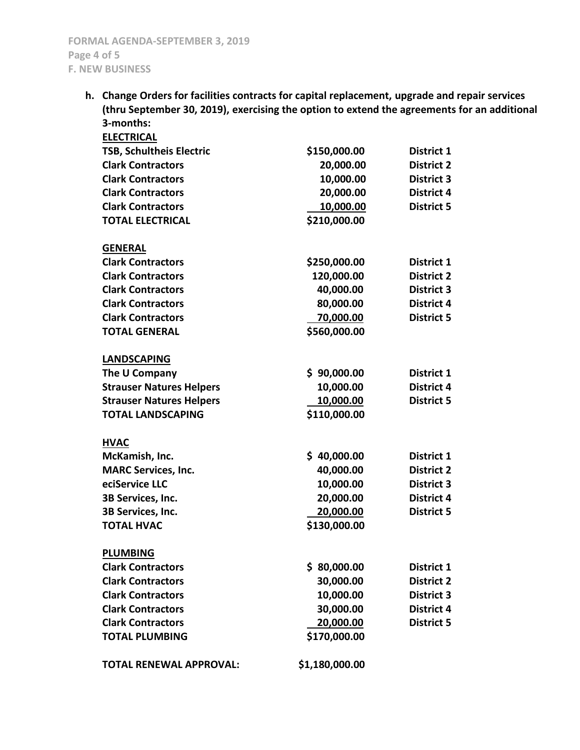**h. Change Orders for facilities contracts for capital replacement, upgrade and repair services (thru September 30, 2019), exercising the option to extend the agreements for an additional 3-months:**

| <b>ELECTRICAL</b>               |                |                   |
|---------------------------------|----------------|-------------------|
| <b>TSB, Schultheis Electric</b> | \$150,000.00   | District 1        |
| <b>Clark Contractors</b>        | 20,000.00      | <b>District 2</b> |
| <b>Clark Contractors</b>        | 10,000.00      | <b>District 3</b> |
| <b>Clark Contractors</b>        | 20,000.00      | <b>District 4</b> |
| <b>Clark Contractors</b>        | 10,000.00      | <b>District 5</b> |
| <b>TOTAL ELECTRICAL</b>         | \$210,000.00   |                   |
|                                 |                |                   |
| <b>GENERAL</b>                  |                |                   |
| <b>Clark Contractors</b>        | \$250,000.00   | District 1        |
| <b>Clark Contractors</b>        | 120,000.00     | <b>District 2</b> |
| <b>Clark Contractors</b>        | 40,000.00      | <b>District 3</b> |
| <b>Clark Contractors</b>        | 80,000.00      | <b>District 4</b> |
| <b>Clark Contractors</b>        | 70,000.00      | <b>District 5</b> |
| <b>TOTAL GENERAL</b>            | \$560,000.00   |                   |
|                                 |                |                   |
| <b>LANDSCAPING</b>              |                |                   |
| The U Company                   | \$90,000.00    | District 1        |
| <b>Strauser Natures Helpers</b> | 10,000.00      | <b>District 4</b> |
| <b>Strauser Natures Helpers</b> | 10,000.00      | <b>District 5</b> |
| <b>TOTAL LANDSCAPING</b>        | \$110,000.00   |                   |
| <b>HVAC</b>                     |                |                   |
| McKamish, Inc.                  | \$40,000.00    | District 1        |
| <b>MARC Services, Inc.</b>      | 40,000.00      | <b>District 2</b> |
| eciService LLC                  | 10,000.00      | <b>District 3</b> |
| 3B Services, Inc.               | 20,000.00      | <b>District 4</b> |
| 3B Services, Inc.               | 20,000.00      | <b>District 5</b> |
| <b>TOTAL HVAC</b>               | \$130,000.00   |                   |
|                                 |                |                   |
| <b>PLUMBING</b>                 |                |                   |
| <b>Clark Contractors</b>        | \$80,000.00    | District 1        |
| <b>Clark Contractors</b>        | 30,000.00      | <b>District 2</b> |
| <b>Clark Contractors</b>        | 10,000.00      | <b>District 3</b> |
| <b>Clark Contractors</b>        | 30,000.00      | <b>District 4</b> |
| <b>Clark Contractors</b>        | 20,000.00      | <b>District 5</b> |
| <b>TOTAL PLUMBING</b>           | \$170,000.00   |                   |
| <b>TOTAL RENEWAL APPROVAL:</b>  | \$1,180,000.00 |                   |
|                                 |                |                   |